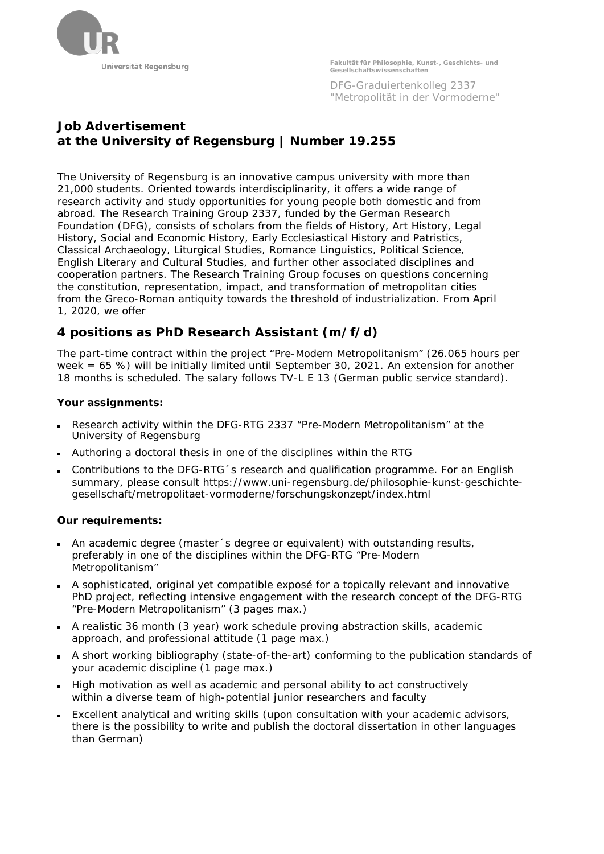

**Fakultät für Philosophie, Kunst-, Geschichts- und Gesellschaftswissenschaften**

DFG-Graduiertenkolleg 2337 "Metropolität in der Vormoderne"

# **Job Advertisement at the University of Regensburg | Number 19.255**

The University of Regensburg is an innovative campus university with more than 21,000 students. Oriented towards interdisciplinarity, it offers a wide range of research activity and study opportunities for young people both domestic and from abroad. The Research Training Group 2337, funded by the German Research Foundation (DFG), consists of scholars from the fields of History, Art History, Legal History, Social and Economic History, Early Ecclesiastical History and Patristics, Classical Archaeology, Liturgical Studies, Romance Linguistics, Political Science, English Literary and Cultural Studies, and further other associated disciplines and cooperation partners. The Research Training Group focuses on questions concerning the constitution, representation, impact, and transformation of metropolitan cities from the Greco-Roman antiquity towards the threshold of industrialization. From April 1, 2020, we offer

## **4 positions as PhD Research Assistant (m/f/d)**

The part-time contract within the project "Pre-Modern Metropolitanism" (26.065 hours per week = 65 %) will be initially limited until September 30, 2021. An extension for another 18 months is scheduled. The salary follows TV-L E 13 (German public service standard).

#### **Your assignments:**

- Research activity within the DFG-RTG 2337 "Pre-Modern Metropolitanism" at the University of Regensburg
- Authoring a doctoral thesis in one of the disciplines within the RTG
- Contributions to the DFG-RTG´s research and qualification programme. For an English summary, please consult https://www.uni-regensburg.de/philosophie-kunst-geschichtegesellschaft/metropolitaet-vormoderne/forschungskonzept/index.html

### **Our requirements:**

- An academic degree (master´s degree or equivalent) with outstanding results, preferably in one of the disciplines within the DFG-RTG "Pre-Modern Metropolitanism"
- A sophisticated, original yet compatible exposé for a topically relevant and innovative PhD project, reflecting intensive engagement with the research concept of the DFG-RTG "Pre-Modern Metropolitanism" (3 pages max.)
- A realistic 36 month (3 year) work schedule proving abstraction skills, academic approach, and professional attitude (1 page max.)
- A short working bibliography (state-of-the-art) conforming to the publication standards of your academic discipline (1 page max.)
- High motivation as well as academic and personal ability to act constructively within a diverse team of high-potential junior researchers and faculty
- Excellent analytical and writing skills (upon consultation with your academic advisors, there is the possibility to write and publish the doctoral dissertation in other languages than German)